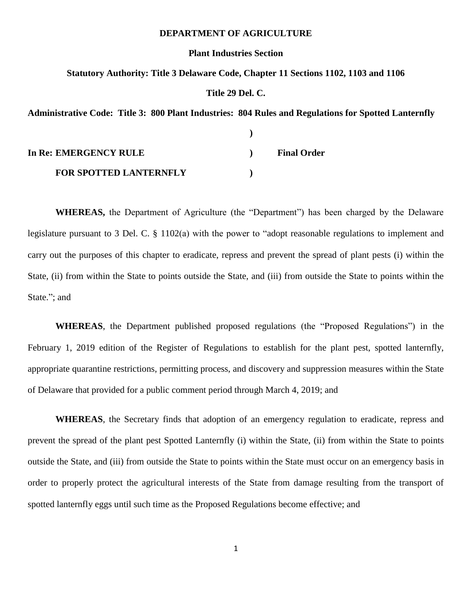#### **DEPARTMENT OF AGRICULTURE**

#### **Plant Industries Section**

#### **Statutory Authority: Title 3 Delaware Code, Chapter 11 Sections 1102, 1103 and 1106**

#### **Title 29 Del. C.**

**Administrative Code: Title 3: 800 Plant Industries: 804 Rules and Regulations for Spotted Lanternfly**

| In Re: EMERGENCY RULE         | <b>Final Order</b> |
|-------------------------------|--------------------|
| <b>FOR SPOTTED LANTERNFLY</b> |                    |

**WHEREAS,** the Department of Agriculture (the "Department") has been charged by the Delaware legislature pursuant to 3 Del. C. § 1102(a) with the power to "adopt reasonable regulations to implement and carry out the purposes of this chapter to eradicate, repress and prevent the spread of plant pests (i) within the State, (ii) from within the State to points outside the State, and (iii) from outside the State to points within the State."; and

**WHEREAS**, the Department published proposed regulations (the "Proposed Regulations") in the February 1, 2019 edition of the Register of Regulations to establish for the plant pest, spotted lanternfly, appropriate quarantine restrictions, permitting process, and discovery and suppression measures within the State of Delaware that provided for a public comment period through March 4, 2019; and

**WHEREAS**, the Secretary finds that adoption of an emergency regulation to eradicate, repress and prevent the spread of the plant pest Spotted Lanternfly (i) within the State, (ii) from within the State to points outside the State, and (iii) from outside the State to points within the State must occur on an emergency basis in order to properly protect the agricultural interests of the State from damage resulting from the transport of spotted lanternfly eggs until such time as the Proposed Regulations become effective; and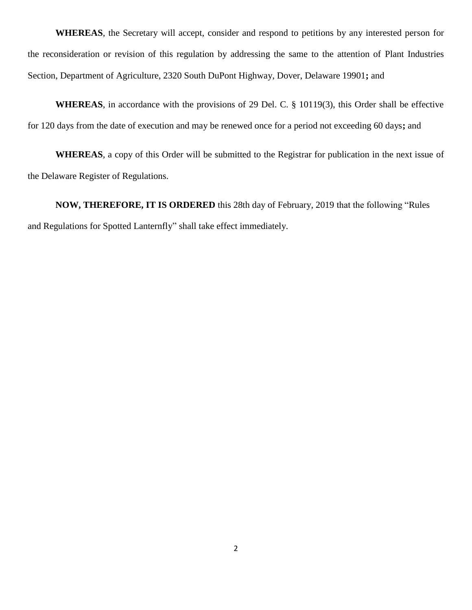**WHEREAS**, the Secretary will accept, consider and respond to petitions by any interested person for the reconsideration or revision of this regulation by addressing the same to the attention of Plant Industries Section, Department of Agriculture, 2320 South DuPont Highway, Dover, Delaware 19901**;** and

**WHEREAS**, in accordance with the provisions of 29 Del. C. § 10119(3), this Order shall be effective for 120 days from the date of execution and may be renewed once for a period not exceeding 60 days**;** and

**WHEREAS**, a copy of this Order will be submitted to the Registrar for publication in the next issue of the Delaware Register of Regulations.

**NOW, THEREFORE, IT IS ORDERED** this 28th day of February, 2019 that the following "Rules and Regulations for Spotted Lanternfly" shall take effect immediately.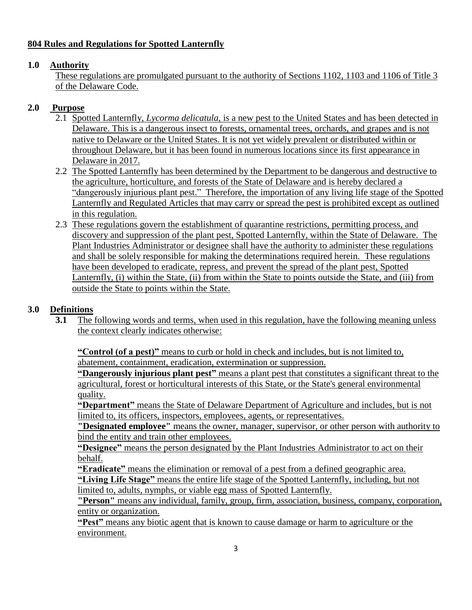## **804 Rules and Regulations for Spotted Lanternfly**

## **1.0 Authority**

These regulations are promulgated pursuant to the authority of Sections 1102, 1103 and 1106 of Title 3 of the Delaware Code.

## **2.0 Purpose**

- 2.1 Spotted Lanternfly, *Lycorma delicatula,* is a new pest to the United States and has been detected in Delaware. This is a dangerous insect to forests, ornamental trees, orchards, and grapes and is not native to Delaware or the United States. It is not yet widely prevalent or distributed within or throughout Delaware, but it has been found in numerous locations since its first appearance in Delaware in 2017.
- 2.2 The Spotted Lanternfly has been determined by the Department to be dangerous and destructive to the agriculture, horticulture, and forests of the State of Delaware and is hereby declared a "dangerously injurious plant pest." Therefore, the importation of any living life stage of the Spotted Lanternfly and Regulated Articles that may carry or spread the pest is prohibited except as outlined in this regulation.
- 2.3 These regulations govern the establishment of quarantine restrictions, permitting process, and discovery and suppression of the plant pest, Spotted Lanternfly, within the State of Delaware. The Plant Industries Administrator or designee shall have the authority to administer these regulations and shall be solely responsible for making the determinations required herein. These regulations have been developed to eradicate, repress, and prevent the spread of the plant pest, Spotted Lanternfly, (i) within the State, (ii) from within the State to points outside the State, and (iii) from outside the State to points within the State.

## **3.0 Definitions**

**3.1** The following words and terms, when used in this regulation, have the following meaning unless the context clearly indicates otherwise:

**"Control (of a pest)"** means to curb or hold in check and includes, but is not limited to, abatement, containment, eradication, extermination or suppression.

**"Dangerously injurious plant pest"** means a plant pest that constitutes a significant threat to the agricultural, forest or horticultural interests of this State, or the State's general environmental quality.

**"Department"** means the State of Delaware Department of Agriculture and includes, but is not limited to, its officers, inspectors, employees, agents, or representatives.

**"Designated employee"** means the owner, manager, supervisor, or other person with authority to bind the entity and train other employees.

**"Designee"** means the person designated by the Plant Industries Administrator to act on their behalf.

**"Eradicate"** means the elimination or removal of a pest from a defined geographic area. **"Living Life Stage"** means the entire life stage of the Spotted Lanternfly, including, but not limited to, adults, nymphs, or viable egg mass of Spotted Lanternfly.

**"Person"** means any individual, family, group, firm, association, business, company, corporation, entity or organization.

**"Pest"** means any biotic agent that is known to cause damage or harm to agriculture or the environment.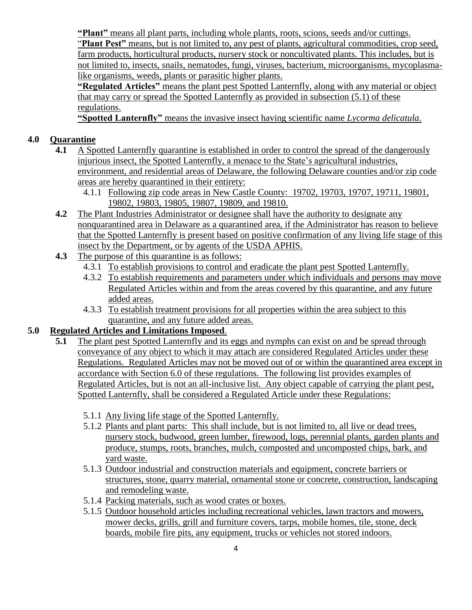**"Plant"** means all plant parts, including whole plants, roots, scions, seeds and/or cuttings.

"**Plant Pest"** means, but is not limited to, any pest of plants, agricultural commodities, crop seed, farm products, horticultural products, nursery stock or noncultivated plants. This includes, but is not limited to, insects, snails, nematodes, fungi, viruses, bacterium, microorganisms, mycoplasmalike organisms, weeds, plants or parasitic higher plants.

**"Regulated Articles"** means the plant pest Spotted Lanternfly, along with any material or object that may carry or spread the Spotted Lanternfly as provided in subsection (5.1) of these regulations.

**"Spotted Lanternfly"** means the invasive insect having scientific name *Lycorma delicatula.*

## **4.0 Quarantine**

- **4.1** A Spotted Lanternfly quarantine is established in order to control the spread of the dangerously injurious insect, the Spotted Lanternfly, a menace to the State's agricultural industries, environment, and residential areas of Delaware, the following Delaware counties and/or zip code areas are hereby quarantined in their entirety:
	- 4.1.1 Following zip code areas in New Castle County: 19702, 19703, 19707, 19711, 19801, 19802, 19803, 19805, 19807, 19809, and 19810.
- **4.2** The Plant Industries Administrator or designee shall have the authority to designate any nonquarantined area in Delaware as a quarantined area, if the Administrator has reason to believe that the Spotted Lanternfly is present based on positive confirmation of any living life stage of this insect by the Department, or by agents of the USDA APHIS.
- **4.3** The purpose of this quarantine is as follows:
	- 4.3.1 To establish provisions to control and eradicate the plant pest Spotted Lanternfly.
	- 4.3.2 To establish requirements and parameters under which individuals and persons may move Regulated Articles within and from the areas covered by this quarantine, and any future added areas.
	- 4.3.3 To establish treatment provisions for all properties within the area subject to this quarantine, and any future added areas.

### **5.0 Regulated Articles and Limitations Imposed**.

- **5.1** The plant pest Spotted Lanternfly and its eggs and nymphs can exist on and be spread through conveyance of any object to which it may attach are considered Regulated Articles under these Regulations. Regulated Articles may not be moved out of or within the quarantined area except in accordance with Section 6.0 of these regulations. The following list provides examples of Regulated Articles, but is not an all-inclusive list. Any object capable of carrying the plant pest, Spotted Lanternfly, shall be considered a Regulated Article under these Regulations:
	- 5.1.1 Any living life stage of the Spotted Lanternfly.
	- 5.1.2 Plants and plant parts: This shall include, but is not limited to, all live or dead trees, nursery stock, budwood, green lumber, firewood, logs, perennial plants, garden plants and produce, stumps, roots, branches, mulch, composted and uncomposted chips, bark, and yard waste.
	- 5.1.3 Outdoor industrial and construction materials and equipment, concrete barriers or structures, stone, quarry material, ornamental stone or concrete, construction, landscaping and remodeling waste.
	- 5.1.4 Packing materials, such as wood crates or boxes.
	- 5.1.5 Outdoor household articles including recreational vehicles, lawn tractors and mowers, mower decks, grills, grill and furniture covers, tarps, mobile homes, tile, stone, deck boards, mobile fire pits, any equipment, trucks or vehicles not stored indoors.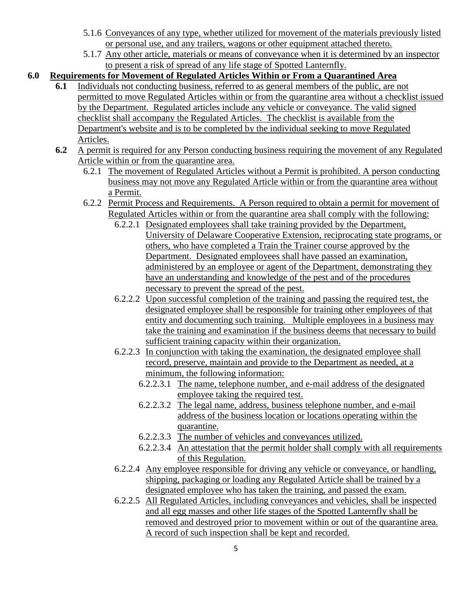- 5.1.6 Conveyances of any type, whether utilized for movement of the materials previously listed or personal use, and any trailers, wagons or other equipment attached thereto.
- 5.1.7 Any other article, materials or means of conveyance when it is determined by an inspector to present a risk of spread of any life stage of Spotted Lanternfly.

## **6.0 Requirements for Movement of Regulated Articles Within or From a Quarantined Area**

- **6.1** Individuals not conducting business, referred to as general members of the public, are not permitted to move Regulated Articles within or from the quarantine area without a checklist issued by the Department. Regulated articles include any vehicle or conveyance. The valid signed checklist shall accompany the Regulated Articles. The checklist is available from the Department's website and is to be completed by the individual seeking to move Regulated Articles.
- **6.2** A permit is required for any Person conducting business requiring the movement of any Regulated Article within or from the quarantine area.
	- 6.2.1 The movement of Regulated Articles without a Permit is prohibited. A person conducting business may not move any Regulated Article within or from the quarantine area without a Permit.
	- 6.2.2 Permit Process and Requirements. A Person required to obtain a permit for movement of Regulated Articles within or from the quarantine area shall comply with the following:
		- 6.2.2.1 Designated employees shall take training provided by the Department, University of Delaware Cooperative Extension, reciprocating state programs, or others, who have completed a Train the Trainer course approved by the Department. Designated employees shall have passed an examination, administered by an employee or agent of the Department, demonstrating they have an understanding and knowledge of the pest and of the procedures necessary to prevent the spread of the pest.
		- 6.2.2.2 Upon successful completion of the training and passing the required test, the designated employee shall be responsible for training other employees of that entity and documenting such training. Multiple employees in a business may take the training and examination if the business deems that necessary to build sufficient training capacity within their organization.
		- 6.2.2.3 In conjunction with taking the examination, the designated employee shall record, preserve, maintain and provide to the Department as needed, at a minimum, the following information:
			- 6.2.2.3.1 The name, telephone number, and e-mail address of the designated employee taking the required test.
			- 6.2.2.3.2 The legal name, address, business telephone number, and e-mail address of the business location or locations operating within the quarantine.
			- 6.2.2.3.3 The number of vehicles and conveyances utilized.
			- 6.2.2.3.4 An attestation that the permit holder shall comply with all requirements of this Regulation.
		- 6.2.2.4 Any employee responsible for driving any vehicle or conveyance, or handling, shipping, packaging or loading any Regulated Article shall be trained by a designated employee who has taken the training, and passed the exam.
		- 6.2.2.5 All Regulated Articles, including conveyances and vehicles, shall be inspected and all egg masses and other life stages of the Spotted Lanternfly shall be removed and destroyed prior to movement within or out of the quarantine area. A record of such inspection shall be kept and recorded.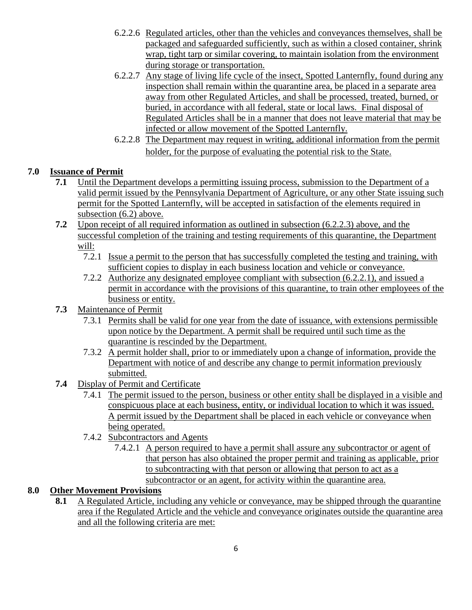- 6.2.2.6 Regulated articles, other than the vehicles and conveyances themselves, shall be packaged and safeguarded sufficiently, such as within a closed container, shrink wrap, tight tarp or similar covering, to maintain isolation from the environment during storage or transportation.
- 6.2.2.7 Any stage of living life cycle of the insect, Spotted Lanternfly, found during any inspection shall remain within the quarantine area, be placed in a separate area away from other Regulated Articles, and shall be processed, treated, burned, or buried, in accordance with all federal, state or local laws. Final disposal of Regulated Articles shall be in a manner that does not leave material that may be infected or allow movement of the Spotted Lanternfly.
- 6.2.2.8 The Department may request in writing, additional information from the permit holder, for the purpose of evaluating the potential risk to the State.

# **7.0 Issuance of Permit**

- **7.1** Until the Department develops a permitting issuing process, submission to the Department of a valid permit issued by the Pennsylvania Department of Agriculture, or any other State issuing such permit for the Spotted Lanternfly, will be accepted in satisfaction of the elements required in subsection (6.2) above.
- **7.2** Upon receipt of all required information as outlined in subsection (6.2.2.3) above, and the successful completion of the training and testing requirements of this quarantine, the Department will:
	- 7.2.1 Issue a permit to the person that has successfully completed the testing and training, with sufficient copies to display in each business location and vehicle or conveyance.
	- 7.2.2 Authorize any designated employee compliant with subsection (6.2.2.1), and issued a permit in accordance with the provisions of this quarantine, to train other employees of the business or entity.
- **7.3** Maintenance of Permit
	- 7.3.1 Permits shall be valid for one year from the date of issuance, with extensions permissible upon notice by the Department. A permit shall be required until such time as the quarantine is rescinded by the Department.
	- 7.3.2 A permit holder shall, prior to or immediately upon a change of information, provide the Department with notice of and describe any change to permit information previously submitted.
- **7.4** Display of Permit and Certificate
	- 7.4.1 The permit issued to the person, business or other entity shall be displayed in a visible and conspicuous place at each business, entity, or individual location to which it was issued. A permit issued by the Department shall be placed in each vehicle or conveyance when being operated.
	- 7.4.2 Subcontractors and Agents
		- 7.4.2.1 A person required to have a permit shall assure any subcontractor or agent of that person has also obtained the proper permit and training as applicable, prior to subcontracting with that person or allowing that person to act as a subcontractor or an agent, for activity within the quarantine area.

## **8.0 Other Movement Provisions**

**8.1** A Regulated Article, including any vehicle or conveyance, may be shipped through the quarantine area if the Regulated Article and the vehicle and conveyance originates outside the quarantine area and all the following criteria are met: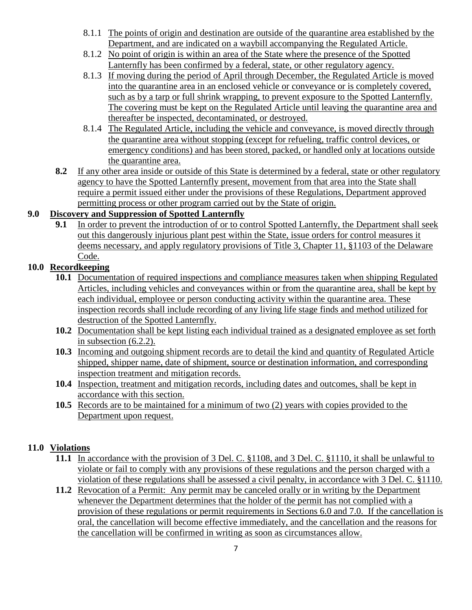- 8.1.1 The points of origin and destination are outside of the quarantine area established by the Department, and are indicated on a waybill accompanying the Regulated Article.
- 8.1.2 No point of origin is within an area of the State where the presence of the Spotted Lanternfly has been confirmed by a federal, state, or other regulatory agency.
- 8.1.3 If moving during the period of April through December, the Regulated Article is moved into the quarantine area in an enclosed vehicle or conveyance or is completely covered, such as by a tarp or full shrink wrapping, to prevent exposure to the Spotted Lanternfly. The covering must be kept on the Regulated Article until leaving the quarantine area and thereafter be inspected, decontaminated, or destroyed.
- 8.1.4 The Regulated Article, including the vehicle and conveyance, is moved directly through the quarantine area without stopping (except for refueling, traffic control devices, or emergency conditions) and has been stored, packed, or handled only at locations outside the quarantine area.
- **8.2** If any other area inside or outside of this State is determined by a federal, state or other regulatory agency to have the Spotted Lanternfly present, movement from that area into the State shall require a permit issued either under the provisions of these Regulations, Department approved permitting process or other program carried out by the State of origin.

## **9.0 Discovery and Suppression of Spotted Lanternfly**

**9.1** In order to prevent the introduction of or to control Spotted Lanternfly, the Department shall seek out this dangerously injurious plant pest within the State, issue orders for control measures it deems necessary, and apply regulatory provisions of Title 3, Chapter 11, §1103 of the Delaware Code.

# **10.0 Recordkeeping**

- **10.1** Documentation of required inspections and compliance measures taken when shipping Regulated Articles, including vehicles and conveyances within or from the quarantine area, shall be kept by each individual, employee or person conducting activity within the quarantine area. These inspection records shall include recording of any living life stage finds and method utilized for destruction of the Spotted Lanternfly.
- **10.2** Documentation shall be kept listing each individual trained as a designated employee as set forth in subsection (6.2.2).
- **10.3** Incoming and outgoing shipment records are to detail the kind and quantity of Regulated Article shipped, shipper name, date of shipment, source or destination information, and corresponding inspection treatment and mitigation records.
- **10.4** Inspection, treatment and mitigation records, including dates and outcomes, shall be kept in accordance with this section.
- **10.5** Records are to be maintained for a minimum of two (2) years with copies provided to the Department upon request.

## **11.0 Violations**

- **11.1** In accordance with the provision of 3 Del. C. §1108, and 3 Del. C. §1110, it shall be unlawful to violate or fail to comply with any provisions of these regulations and the person charged with a violation of these regulations shall be assessed a civil penalty, in accordance with 3 Del. C. §1110.
- **11.2** Revocation of a Permit: Any permit may be canceled orally or in writing by the Department whenever the Department determines that the holder of the permit has not complied with a provision of these regulations or permit requirements in Sections 6.0 and 7.0. If the cancellation is oral, the cancellation will become effective immediately, and the cancellation and the reasons for the cancellation will be confirmed in writing as soon as circumstances allow.